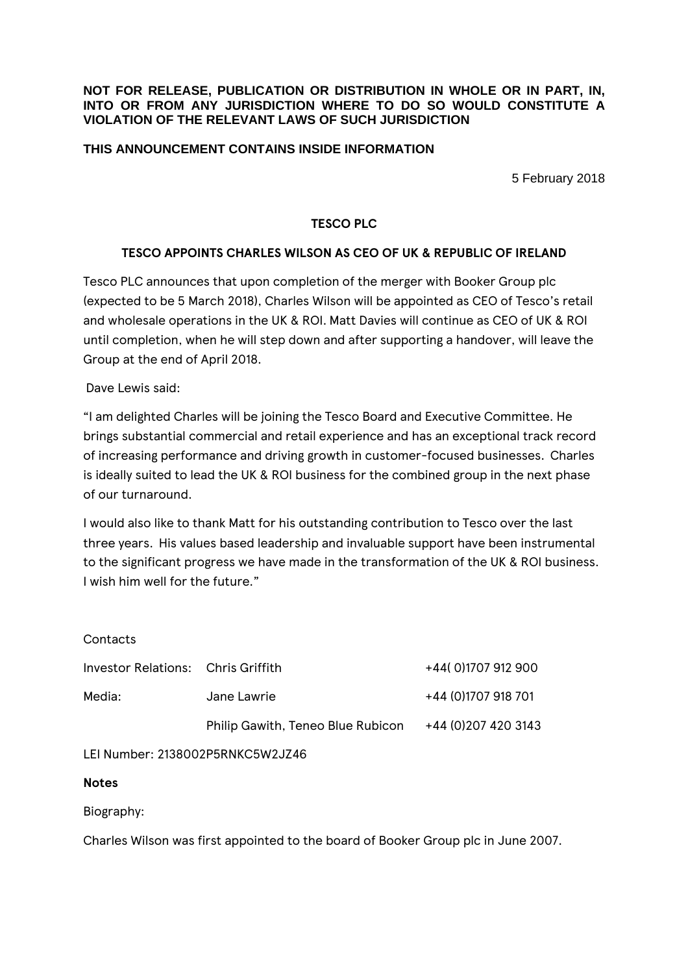#### **NOT FOR RELEASE, PUBLICATION OR DISTRIBUTION IN WHOLE OR IN PART, IN, INTO OR FROM ANY JURISDICTION WHERE TO DO SO WOULD CONSTITUTE A VIOLATION OF THE RELEVANT LAWS OF SUCH JURISDICTION**

## **THIS ANNOUNCEMENT CONTAINS INSIDE INFORMATION**

5 February 2018

## **TESCO PLC**

## **TESCO APPOINTS CHARLES WILSON AS CEO OF UK & REPUBLIC OF IRELAND**

Tesco PLC announces that upon completion of the merger with Booker Group plc (expected to be 5 March 2018), Charles Wilson will be appointed as CEO of Tesco's retail and wholesale operations in the UK & ROI. Matt Davies will continue as CEO of UK & ROI until completion, when he will step down and after supporting a handover, will leave the Group at the end of April 2018.

Dave Lewis said:

"I am delighted Charles will be joining the Tesco Board and Executive Committee. He brings substantial commercial and retail experience and has an exceptional track record of increasing performance and driving growth in customer-focused businesses. Charles is ideally suited to lead the UK & ROI business for the combined group in the next phase of our turnaround.

I would also like to thank Matt for his outstanding contribution to Tesco over the last three years. His values based leadership and invaluable support have been instrumental to the significant progress we have made in the transformation of the UK & ROI business. I wish him well for the future."

| Contacts                           |                                   |                      |
|------------------------------------|-----------------------------------|----------------------|
| Investor Relations: Chris Griffith |                                   | +44(0)1707912900     |
| Media:                             | Jane Lawrie                       | +44 (0)1707 918 701  |
|                                    | Philip Gawith, Teneo Blue Rubicon | +44 (0) 207 420 3143 |
|                                    |                                   |                      |

LEI Number: 2138002P5RNKC5W2JZ46

## **Notes**

Biography:

Charles Wilson was first appointed to the board of Booker Group plc in June 2007.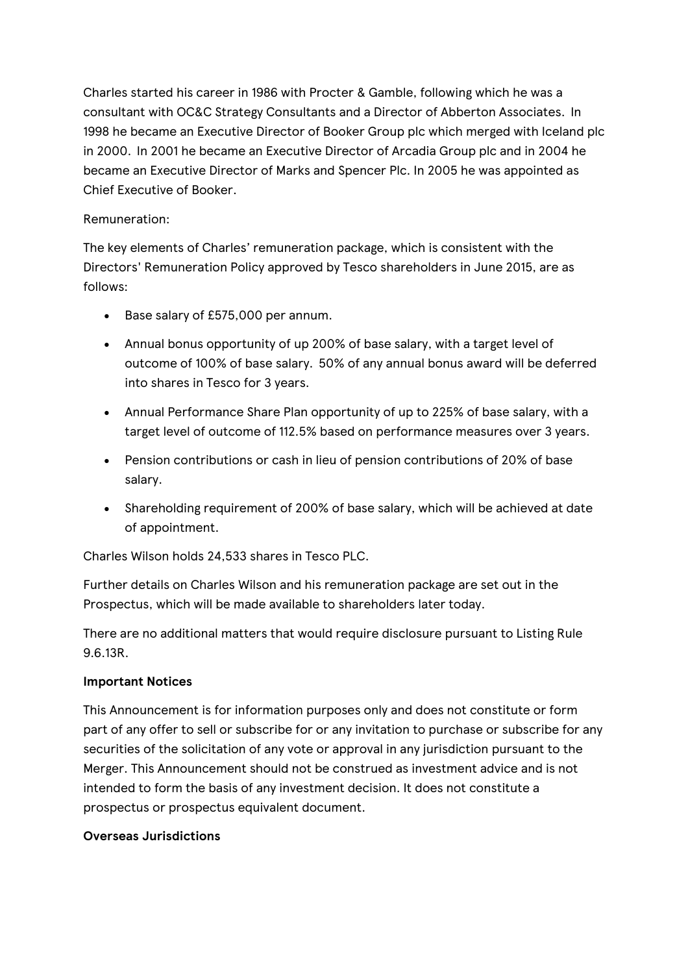Charles started his career in 1986 with Procter & Gamble, following which he was a consultant with OC&C Strategy Consultants and a Director of Abberton Associates. In 1998 he became an Executive Director of Booker Group plc which merged with Iceland plc in 2000. In 2001 he became an Executive Director of Arcadia Group plc and in 2004 he became an Executive Director of Marks and Spencer Plc. In 2005 he was appointed as Chief Executive of Booker.

# Remuneration:

The key elements of Charles' remuneration package, which is consistent with the Directors' Remuneration Policy approved by Tesco shareholders in June 2015, are as follows:

- Base salary of £575,000 per annum.
- Annual bonus opportunity of up 200% of base salary, with a target level of outcome of 100% of base salary. 50% of any annual bonus award will be deferred into shares in Tesco for 3 years.
- Annual Performance Share Plan opportunity of up to 225% of base salary, with a target level of outcome of 112.5% based on performance measures over 3 years.
- Pension contributions or cash in lieu of pension contributions of 20% of base salary.
- Shareholding requirement of 200% of base salary, which will be achieved at date of appointment.

Charles Wilson holds 24,533 shares in Tesco PLC.

Further details on Charles Wilson and his remuneration package are set out in the Prospectus, which will be made available to shareholders later today.

There are no additional matters that would require disclosure pursuant to Listing Rule 9.6.13R.

# **Important Notices**

This Announcement is for information purposes only and does not constitute or form part of any offer to sell or subscribe for or any invitation to purchase or subscribe for any securities of the solicitation of any vote or approval in any jurisdiction pursuant to the Merger. This Announcement should not be construed as investment advice and is not intended to form the basis of any investment decision. It does not constitute a prospectus or prospectus equivalent document.

# **Overseas Jurisdictions**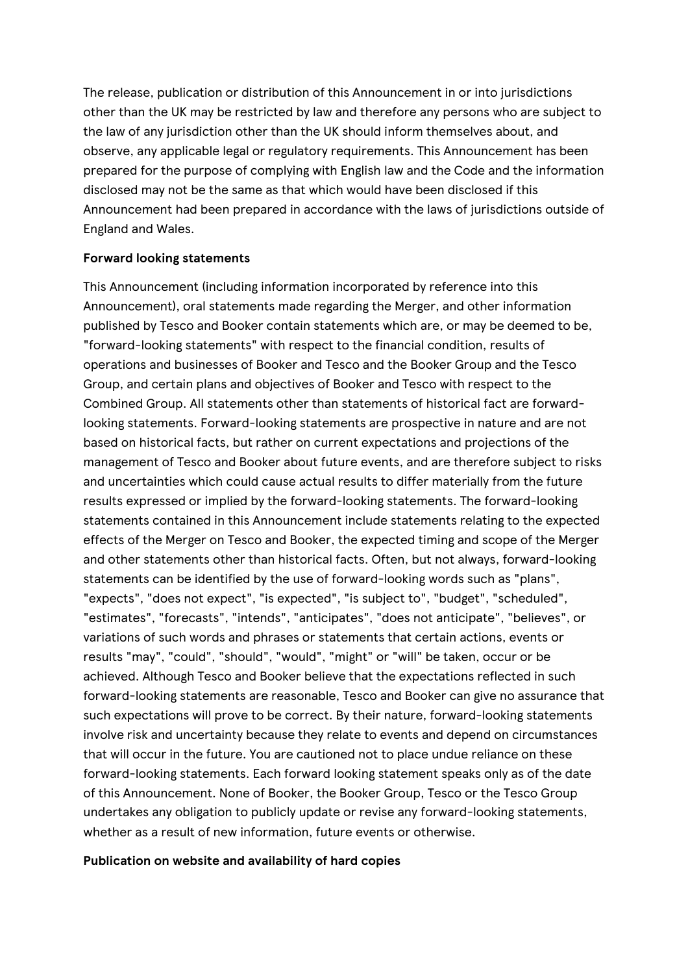The release, publication or distribution of this Announcement in or into jurisdictions other than the UK may be restricted by law and therefore any persons who are subject to the law of any jurisdiction other than the UK should inform themselves about, and observe, any applicable legal or regulatory requirements. This Announcement has been prepared for the purpose of complying with English law and the Code and the information disclosed may not be the same as that which would have been disclosed if this Announcement had been prepared in accordance with the laws of jurisdictions outside of England and Wales.

#### **Forward looking statements**

This Announcement (including information incorporated by reference into this Announcement), oral statements made regarding the Merger, and other information published by Tesco and Booker contain statements which are, or may be deemed to be, "forward-looking statements" with respect to the financial condition, results of operations and businesses of Booker and Tesco and the Booker Group and the Tesco Group, and certain plans and objectives of Booker and Tesco with respect to the Combined Group. All statements other than statements of historical fact are forwardlooking statements. Forward-looking statements are prospective in nature and are not based on historical facts, but rather on current expectations and projections of the management of Tesco and Booker about future events, and are therefore subject to risks and uncertainties which could cause actual results to differ materially from the future results expressed or implied by the forward-looking statements. The forward-looking statements contained in this Announcement include statements relating to the expected effects of the Merger on Tesco and Booker, the expected timing and scope of the Merger and other statements other than historical facts. Often, but not always, forward-looking statements can be identified by the use of forward-looking words such as "plans", "expects", "does not expect", "is expected", "is subject to", "budget", "scheduled", "estimates", "forecasts", "intends", "anticipates", "does not anticipate", "believes", or variations of such words and phrases or statements that certain actions, events or results "may", "could", "should", "would", "might" or "will" be taken, occur or be achieved. Although Tesco and Booker believe that the expectations reflected in such forward-looking statements are reasonable, Tesco and Booker can give no assurance that such expectations will prove to be correct. By their nature, forward-looking statements involve risk and uncertainty because they relate to events and depend on circumstances that will occur in the future. You are cautioned not to place undue reliance on these forward-looking statements. Each forward looking statement speaks only as of the date of this Announcement. None of Booker, the Booker Group, Tesco or the Tesco Group undertakes any obligation to publicly update or revise any forward-looking statements, whether as a result of new information, future events or otherwise.

#### **Publication on website and availability of hard copies**